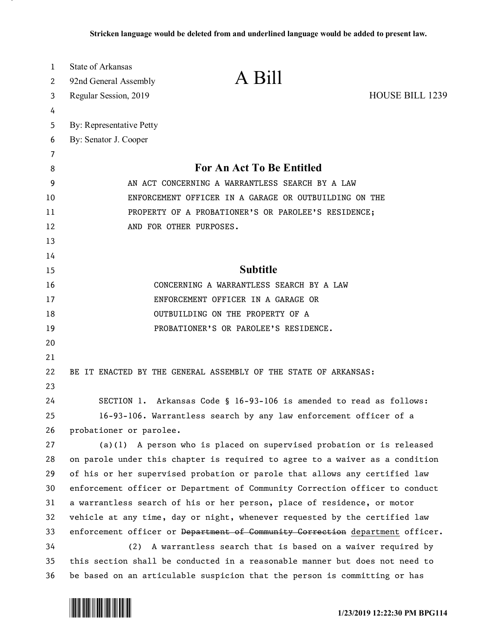| 1  | <b>State of Arkansas</b>                                                      |  |
|----|-------------------------------------------------------------------------------|--|
| 2  | A Bill<br>92nd General Assembly                                               |  |
| 3  | HOUSE BILL 1239<br>Regular Session, 2019                                      |  |
| 4  |                                                                               |  |
| 5  | By: Representative Petty                                                      |  |
| 6  | By: Senator J. Cooper                                                         |  |
| 7  |                                                                               |  |
| 8  | <b>For An Act To Be Entitled</b>                                              |  |
| 9  | AN ACT CONCERNING A WARRANTLESS SEARCH BY A LAW                               |  |
| 10 | ENFORCEMENT OFFICER IN A GARAGE OR OUTBUILDING ON THE                         |  |
| 11 | PROPERTY OF A PROBATIONER'S OR PAROLEE'S RESIDENCE;                           |  |
| 12 | AND FOR OTHER PURPOSES.                                                       |  |
| 13 |                                                                               |  |
| 14 |                                                                               |  |
| 15 | <b>Subtitle</b>                                                               |  |
| 16 | CONCERNING A WARRANTLESS SEARCH BY A LAW                                      |  |
| 17 | ENFORCEMENT OFFICER IN A GARAGE OR                                            |  |
| 18 | OUTBUILDING ON THE PROPERTY OF A                                              |  |
| 19 | PROBATIONER'S OR PAROLEE'S RESIDENCE.                                         |  |
| 20 |                                                                               |  |
| 21 |                                                                               |  |
| 22 | BE IT ENACTED BY THE GENERAL ASSEMBLY OF THE STATE OF ARKANSAS:               |  |
| 23 |                                                                               |  |
| 24 | SECTION 1. Arkansas Code § 16-93-106 is amended to read as follows:           |  |
| 25 | 16-93-106. Warrantless search by any law enforcement officer of a             |  |
| 26 | probationer or parolee.                                                       |  |
| 27 | $(a)(1)$ A person who is placed on supervised probation or is released        |  |
| 28 | on parole under this chapter is required to agree to a waiver as a condition  |  |
| 29 | of his or her supervised probation or parole that allows any certified law    |  |
| 30 | enforcement officer or Department of Community Correction officer to conduct  |  |
| 31 | a warrantless search of his or her person, place of residence, or motor       |  |
| 32 | vehicle at any time, day or night, whenever requested by the certified law    |  |
| 33 | enforcement officer or Department of Community Correction department officer. |  |
| 34 | (2)<br>A warrantless search that is based on a waiver required by             |  |
| 35 | this section shall be conducted in a reasonable manner but does not need to   |  |
| 36 | be based on an articulable suspicion that the person is committing or has     |  |